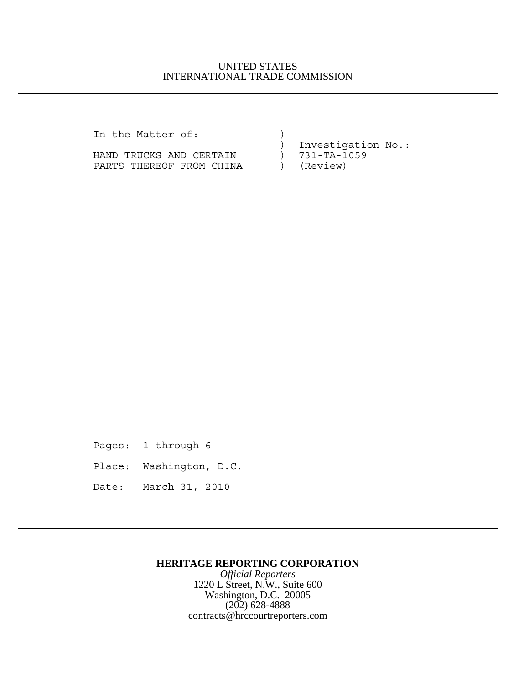# UNITED STATES INTERNATIONAL TRADE COMMISSION

In the Matter of:  $)$ 

HAND TRUCKS AND CERTAIN ) 731-TA-1059 PARTS THEREOF FROM CHINA (Review)

) Investigation No.:

Pages: 1 through 6

Place: Washington, D.C.

Date: March 31, 2010

# **HERITAGE REPORTING CORPORATION**

*Official Reporters* 1220 L Street, N.W., Suite 600 Washington, D.C. 20005 (202) 628-4888 contracts@hrccourtreporters.com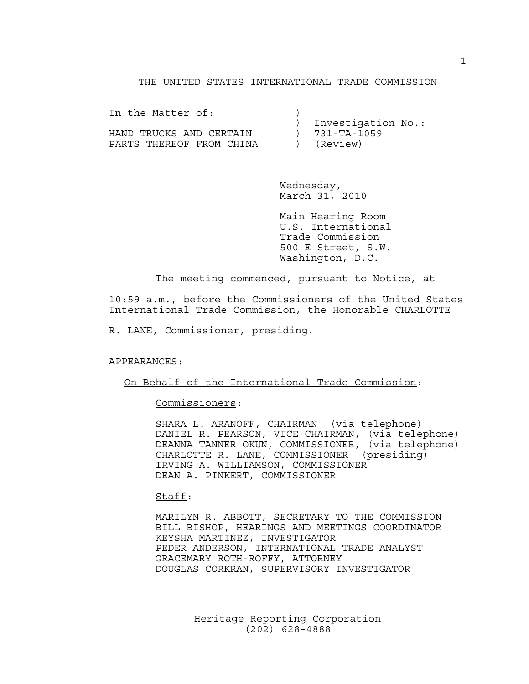### THE UNITED STATES INTERNATIONAL TRADE COMMISSION

| In the Matter of:        |                    |
|--------------------------|--------------------|
|                          | Investigation No.: |
| HAND TRUCKS AND CERTAIN  | 731-TA-1059        |
| PARTS THEREOF FROM CHINA | (Review)           |

Wednesday, March 31, 2010

Main Hearing Room U.S. International Trade Commission 500 E Street, S.W. Washington, D.C.

The meeting commenced, pursuant to Notice, at

10:59 a.m., before the Commissioners of the United States International Trade Commission, the Honorable CHARLOTTE

R. LANE, Commissioner, presiding.

APPEARANCES:

On Behalf of the International Trade Commission:

Commissioners:

SHARA L. ARANOFF, CHAIRMAN (via telephone) DANIEL R. PEARSON, VICE CHAIRMAN, (via telephone) DEANNA TANNER OKUN, COMMISSIONER, (via telephone) CHARLOTTE R. LANE, COMMISSIONER (presiding) IRVING A. WILLIAMSON, COMMISSIONER DEAN A. PINKERT, COMMISSIONER

Staff:

MARILYN R. ABBOTT, SECRETARY TO THE COMMISSION BILL BISHOP, HEARINGS AND MEETINGS COORDINATOR KEYSHA MARTINEZ, INVESTIGATOR PEDER ANDERSON, INTERNATIONAL TRADE ANALYST GRACEMARY ROTH-ROFFY, ATTORNEY DOUGLAS CORKRAN, SUPERVISORY INVESTIGATOR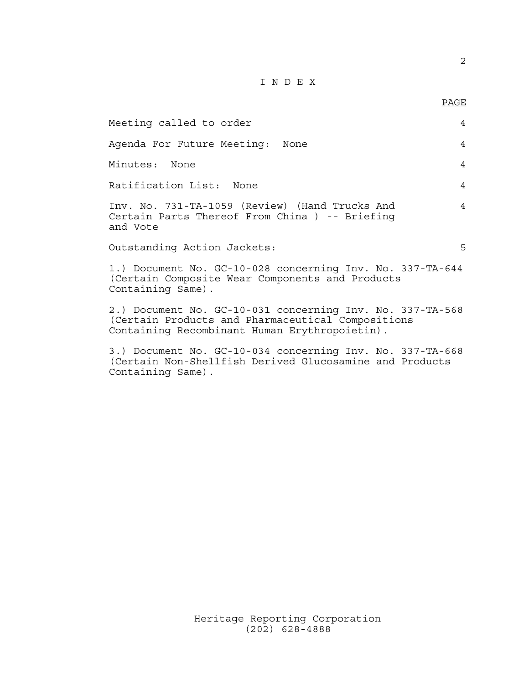# I N D E X

| Meeting called to order                                                                                                                                         | $\overline{4}$ |
|-----------------------------------------------------------------------------------------------------------------------------------------------------------------|----------------|
| Agenda For Future Meeting: None                                                                                                                                 | 4              |
| Minutes: None                                                                                                                                                   | 4              |
| Ratification List: None                                                                                                                                         | 4              |
| Inv. No. 731-TA-1059 (Review) (Hand Trucks And<br>Certain Parts Thereof From China ) -- Briefing<br>and Vote                                                    | $\overline{4}$ |
| Outstanding Action Jackets:                                                                                                                                     | 5              |
| 1.) Document No. GC-10-028 concerning Inv. No. 337-TA-644<br>(Certain Composite Wear Components and Products<br>Containing Same).                               |                |
| 2.) Document No. GC-10-031 concerning Inv. No. 337-TA-568<br>(Certain Products and Pharmaceutical Compositions<br>Containing Recombinant Human Erythropoietin). |                |

3.) Document No. GC-10-034 concerning Inv. No. 337-TA-668 (Certain Non-Shellfish Derived Glucosamine and Products Containing Same).

2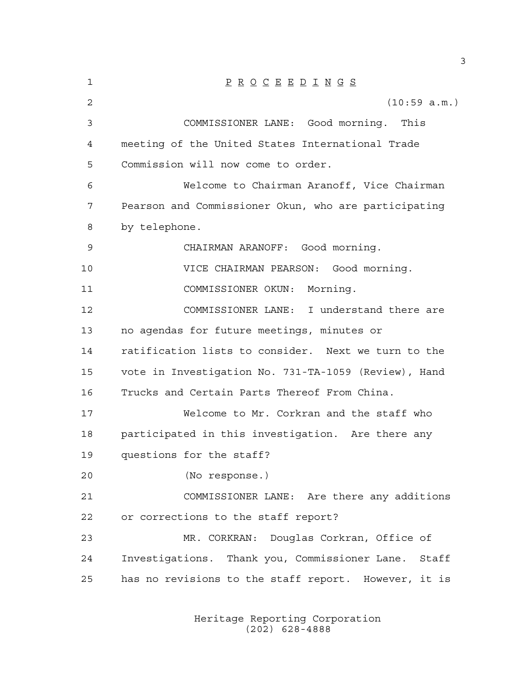| 1  | $\underline{P} \underline{R} \underline{O} \underline{C} \underline{E} \underline{E} \underline{D} \underline{I} \underline{N} \underline{G} \underline{S}$ |
|----|-------------------------------------------------------------------------------------------------------------------------------------------------------------|
| 2  | (10:59 a.m.)                                                                                                                                                |
| 3  | COMMISSIONER LANE: Good morning. This                                                                                                                       |
| 4  | meeting of the United States International Trade                                                                                                            |
| 5  | Commission will now come to order.                                                                                                                          |
| 6  | Welcome to Chairman Aranoff, Vice Chairman                                                                                                                  |
| 7  | Pearson and Commissioner Okun, who are participating                                                                                                        |
| 8  | by telephone.                                                                                                                                               |
| 9  | CHAIRMAN ARANOFF: Good morning.                                                                                                                             |
| 10 | VICE CHAIRMAN PEARSON: Good morning.                                                                                                                        |
| 11 | COMMISSIONER OKUN: Morning.                                                                                                                                 |
| 12 | COMMISSIONER LANE: I understand there are                                                                                                                   |
| 13 | no agendas for future meetings, minutes or                                                                                                                  |
| 14 | ratification lists to consider. Next we turn to the                                                                                                         |
| 15 | vote in Investigation No. 731-TA-1059 (Review), Hand                                                                                                        |
| 16 | Trucks and Certain Parts Thereof From China.                                                                                                                |
| 17 | Welcome to Mr. Corkran and the staff who                                                                                                                    |
| 18 | participated in this investigation. Are there any                                                                                                           |
| 19 | questions for the staff?                                                                                                                                    |
| 20 | (No response.)                                                                                                                                              |
| 21 | COMMISSIONER LANE: Are there any additions                                                                                                                  |
| 22 | or corrections to the staff report?                                                                                                                         |
| 23 | MR. CORKRAN: Douglas Corkran, Office of                                                                                                                     |
| 24 | Investigations. Thank you, Commissioner Lane. Staff                                                                                                         |
| 25 | has no revisions to the staff report. However, it is                                                                                                        |
|    |                                                                                                                                                             |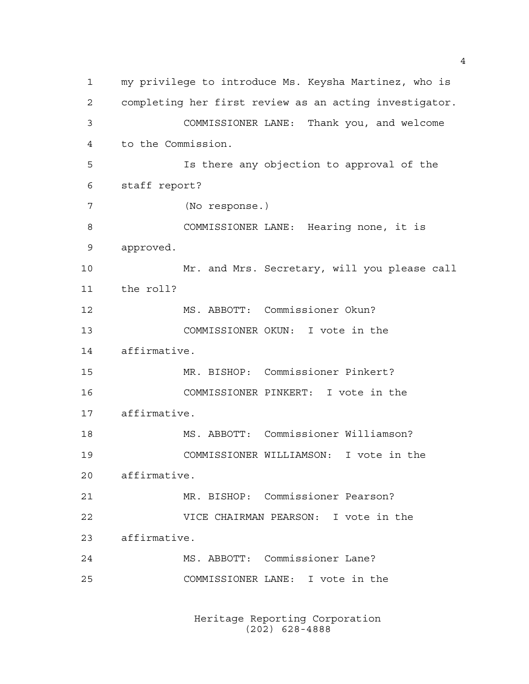my privilege to introduce Ms. Keysha Martinez, who is completing her first review as an acting investigator. COMMISSIONER LANE: Thank you, and welcome to the Commission. Is there any objection to approval of the staff report? (No response.) COMMISSIONER LANE: Hearing none, it is approved. Mr. and Mrs. Secretary, will you please call the roll? MS. ABBOTT: Commissioner Okun? COMMISSIONER OKUN: I vote in the affirmative. MR. BISHOP: Commissioner Pinkert? COMMISSIONER PINKERT: I vote in the affirmative. MS. ABBOTT: Commissioner Williamson? COMMISSIONER WILLIAMSON: I vote in the affirmative. MR. BISHOP: Commissioner Pearson? VICE CHAIRMAN PEARSON: I vote in the affirmative. MS. ABBOTT: Commissioner Lane? COMMISSIONER LANE: I vote in the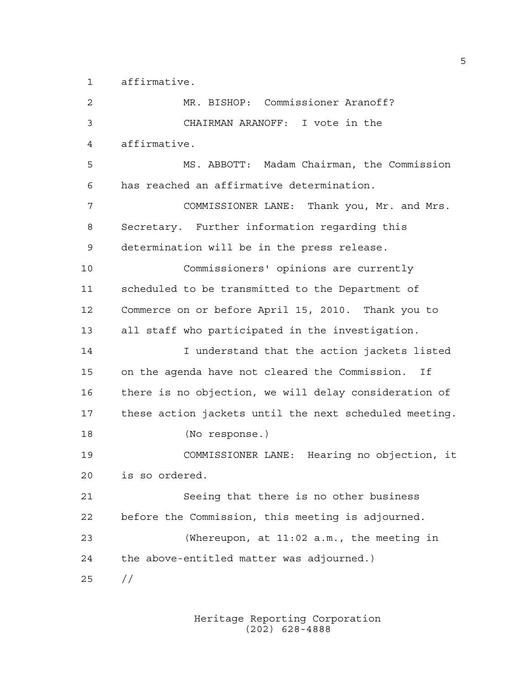affirmative.

| $\overline{2}$ | MR. BISHOP: Commissioner Aranoff?                      |
|----------------|--------------------------------------------------------|
| 3              | CHAIRMAN ARANOFF: I vote in the                        |
| 4              | affirmative.                                           |
| 5              | MS. ABBOTT: Madam Chairman, the Commission             |
| 6              | has reached an affirmative determination.              |
| 7              | COMMISSIONER LANE: Thank you, Mr. and Mrs.             |
| 8              | Secretary. Further information regarding this          |
| 9              | determination will be in the press release.            |
| 10             | Commissioners' opinions are currently                  |
| 11             | scheduled to be transmitted to the Department of       |
| 12             | Commerce on or before April 15, 2010. Thank you to     |
| 13             | all staff who participated in the investigation.       |
| 14             | I understand that the action jackets listed            |
| 15             | on the agenda have not cleared the Commission. If      |
| 16             | there is no objection, we will delay consideration of  |
| 17             | these action jackets until the next scheduled meeting. |
| 18             | (No response.)                                         |
| 19             | COMMISSIONER LANE: Hearing no objection, it            |
| 20             | is so ordered.                                         |
| 21             | Seeing that there is no other business                 |
| 22             | before the Commission, this meeting is adjourned.      |
| 23             | (Whereupon, at 11:02 a.m., the meeting in              |
| 24             | the above-entitled matter was adjourned.)              |
| 25             | $\frac{1}{2}$                                          |